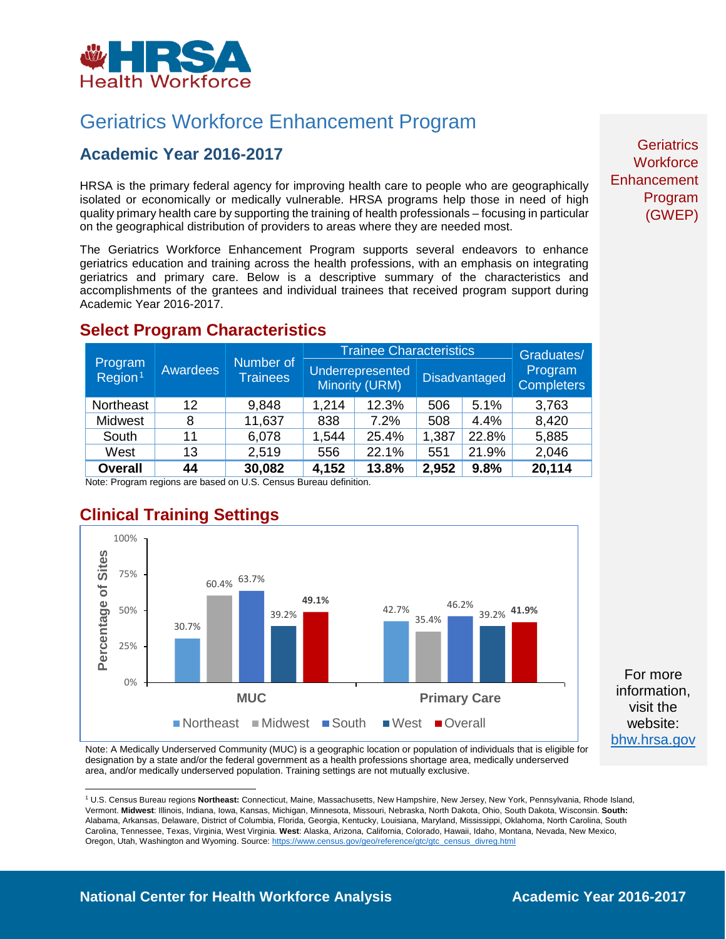

# Geriatrics Workforce Enhancement Program

### **Academic Year 2016-2017**

HRSA is the primary federal agency for improving health care to people who are geographically isolated or economically or medically vulnerable. HRSA programs help those in need of high quality primary health care by supporting the training of health professionals – focusing in particular on the geographical distribution of providers to areas where they are needed most.

The Geriatrics Workforce Enhancement Program supports several endeavors to enhance geriatrics education and training across the health professions, with an emphasis on integrating geriatrics and primary care. Below is a descriptive summary of the characteristics and accomplishments of the grantees and individual trainees that received program support during Academic Year 2016-2017.

Midwest | 8 | 11,637 | 838 | 7.2% | 508 | 4.4% | 8,420 South 11 6,078 1,544 25.4% 1,387 22.8% 5,885 West 13 2,519 556 22.1% 551 21.9% 2,046

#### **Select Program Characteristics** Program  $Reqion<sup>1</sup>$ **Awardees** Number of **Trainees** Trainee Characteristics [30] Graduates/ Underrepresented Minority (URM) Disadvantaged Northeast | 12 | 9,848 | 1,214 | 12.3% | 506 | 5.1% | 3,763

**Overall 44 30,082 4,152 13.8% 2,952 9.8% 20,114** Note: Program regions are based on U.S. Census Bureau definition.

## **Clinical Training Settings**



For more information, visit the website: [bhw.hrsa.gov](http://bhw.hrsa.gov/)

**Geriatrics Workforce Enhancement** Program (GWEP)

Program **Completers** 

Note: A Medically Underserved Community (MUC) is a geographic location or population of individuals that is eligible for designation by a state and/or the federal government as a health professions shortage area, medically underserved area, and/or medically underserved population. Training settings are not mutually exclusive.

l <sup>1</sup> U.S. Census Bureau regions **Northeast:** Connecticut, Maine, Massachusetts, New Hampshire, New Jersey, New York, Pennsylvania, Rhode Island, Vermont. **Midwest**: Illinois, Indiana, Iowa, Kansas, Michigan, Minnesota, Missouri, Nebraska, North Dakota, Ohio, South Dakota, Wisconsin. **South:** Alabama, Arkansas, Delaware, District of Columbia, Florida, Georgia, Kentucky, Louisiana, Maryland, Mississippi, Oklahoma, North Carolina, South Carolina, Tennessee, Texas, Virginia, West Virginia. **West**: Alaska, Arizona, California, Colorado, Hawaii, Idaho, Montana, Nevada, New Mexico, Oregon, Utah, Washington and Wyoming. Source[: https://www.census.gov/geo/reference/gtc/gtc\\_census\\_divreg.html](https://www.census.gov/geo/reference/gtc/gtc_census_divreg.html)